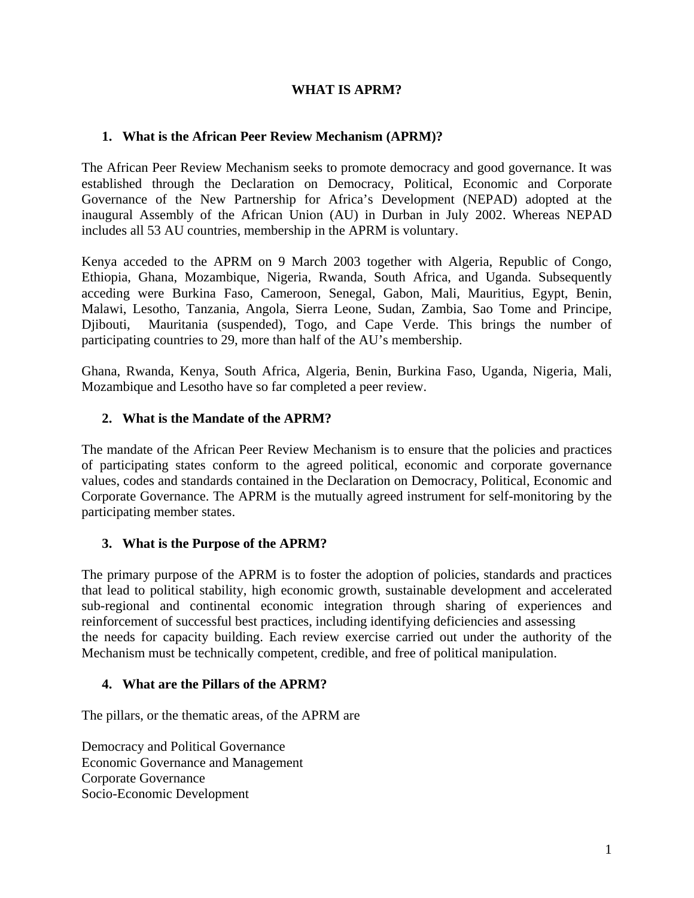### **WHAT IS APRM?**

### **1. What is the African Peer Review Mechanism (APRM)?**

The African Peer Review Mechanism seeks to promote democracy and good governance. It was established through the Declaration on Democracy, Political, Economic and Corporate Governance of the New Partnership for Africa's Development (NEPAD) adopted at the inaugural Assembly of the African Union (AU) in Durban in July 2002. Whereas NEPAD includes all 53 AU countries, membership in the APRM is voluntary.

Kenya acceded to the APRM on 9 March 2003 together with [Algeria,](http://en.wikipedia.org/wiki/Algeria) [Republic of Congo,](http://en.wikipedia.org/wiki/Republic_of_Congo) [Ethiopia,](http://en.wikipedia.org/wiki/Ethiopia) [Ghana](http://en.wikipedia.org/wiki/Ghana), Mozambique, Nigeria, Rwanda, South Africa, and Uganda. Subsequently acceding were Burkina Faso, [Cameroon](http://en.wikipedia.org/wiki/Cameroon), Senegal, [Gabon](http://en.wikipedia.org/wiki/Gabon), [Mali](http://en.wikipedia.org/wiki/Mali), [Mauritius,](http://en.wikipedia.org/wiki/Mauritius) [Egypt](http://en.wikipedia.org/wiki/Egypt), [Benin,](http://en.wikipedia.org/wiki/Benin) [Malawi,](http://en.wikipedia.org/wiki/Malawi) [Lesotho,](http://en.wikipedia.org/wiki/Lesotho) [Tanzania](http://en.wikipedia.org/wiki/Tanzania), [Angola](http://en.wikipedia.org/wiki/Angola), [Sierra Leone,](http://en.wikipedia.org/wiki/Sierra_Leone) [Sudan](http://en.wikipedia.org/wiki/Sudan), [Zambia,](http://en.wikipedia.org/wiki/Zambia) [Sao Tome and Principe,](http://en.wikipedia.org/wiki/Sao_Tome_and_Principe) [Djibouti](http://en.wikipedia.org/wiki/Djibouti), [Mauritania](http://en.wikipedia.org/wiki/Mauritania) (suspended), [Togo,](http://en.wikipedia.org/wiki/Togo) and Cape Verde. This brings the number of participating countries to 29, more than half of the AU's membership.

Ghana, Rwanda, Kenya, South Africa, Algeria, Benin, Burkina Faso, Uganda, Nigeria, Mali, Mozambique and Lesotho have so far completed a peer review.

### **2. What is the Mandate of the APRM?**

The mandate of the African Peer Review Mechanism is to ensure that the policies and practices of participating states conform to the agreed political, economic and corporate governance values, codes and standards contained in the Declaration on Democracy, Political, Economic and Corporate Governance. The APRM is the mutually agreed instrument for self-monitoring by the participating member states.

#### **3. What is the Purpose of the APRM?**

The primary purpose of the APRM is to foster the adoption of policies, standards and practices that lead to political stability, high economic growth, sustainable development and accelerated sub-regional and continental economic integration through sharing of experiences and reinforcement of successful best practices, including identifying deficiencies and assessing the needs for capacity building. Each review exercise carried out under the authority of the Mechanism must be technically competent, credible, and free of political manipulation.

#### **4. What are the Pillars of the APRM?**

The pillars, or the thematic areas, of the APRM are

Democracy and Political Governance Economic Governance and Management Corporate Governance Socio-Economic Development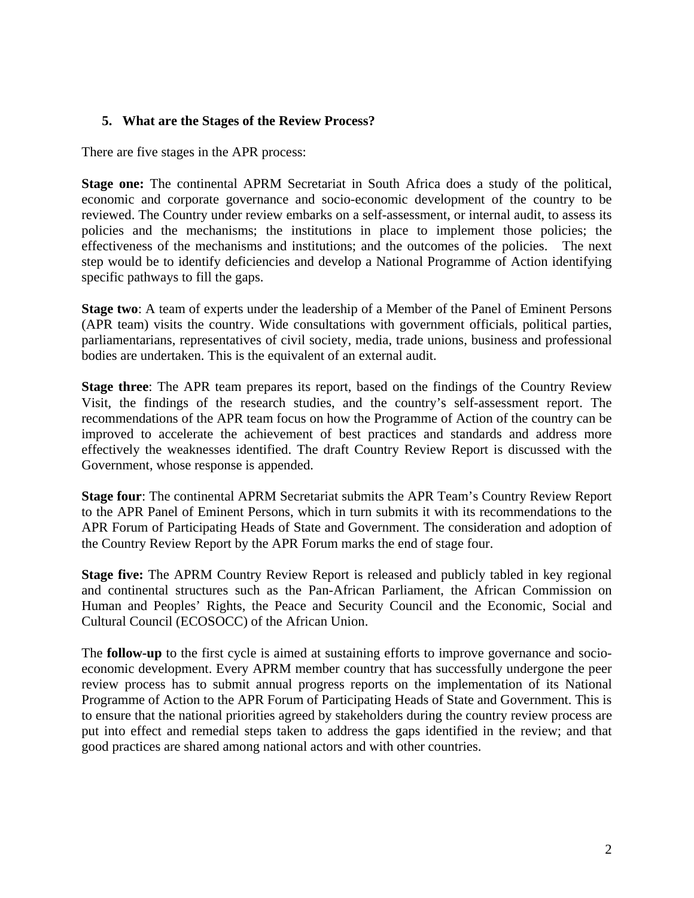### **5. What are the Stages of the Review Process?**

There are five stages in the APR process:

**Stage one:** The continental APRM Secretariat in South Africa does a study of the political, economic and corporate governance and socio-economic development of the country to be reviewed. The Country under review embarks on a self-assessment, or internal audit, to assess its policies and the mechanisms; the institutions in place to implement those policies; the effectiveness of the mechanisms and institutions; and the outcomes of the policies. The next step would be to identify deficiencies and develop a National Programme of Action identifying specific pathways to fill the gaps.

**Stage two**: A team of experts under the leadership of a Member of the Panel of Eminent Persons (APR team) visits the country. Wide consultations with government officials, political parties, parliamentarians, representatives of civil society, media, trade unions, business and professional bodies are undertaken. This is the equivalent of an external audit.

**Stage three**: The APR team prepares its report, based on the findings of the Country Review Visit, the findings of the research studies, and the country's self-assessment report. The recommendations of the APR team focus on how the Programme of Action of the country can be improved to accelerate the achievement of best practices and standards and address more effectively the weaknesses identified. The draft Country Review Report is discussed with the Government, whose response is appended.

**Stage four**: The continental APRM Secretariat submits the APR Team's Country Review Report to the APR Panel of Eminent Persons, which in turn submits it with its recommendations to the APR Forum of Participating Heads of State and Government. The consideration and adoption of the Country Review Report by the APR Forum marks the end of stage four.

**Stage five:** The APRM Country Review Report is released and publicly tabled in key regional and continental structures such as the Pan-African Parliament, the African Commission on Human and Peoples' Rights, the Peace and Security Council and the Economic, Social and Cultural Council (ECOSOCC) of the African Union.

The **follow-up** to the first cycle is aimed at sustaining efforts to improve governance and socioeconomic development. Every APRM member country that has successfully undergone the peer review process has to submit annual progress reports on the implementation of its National Programme of Action to the APR Forum of Participating Heads of State and Government. This is to ensure that the national priorities agreed by stakeholders during the country review process are put into effect and remedial steps taken to address the gaps identified in the review; and that good practices are shared among national actors and with other countries.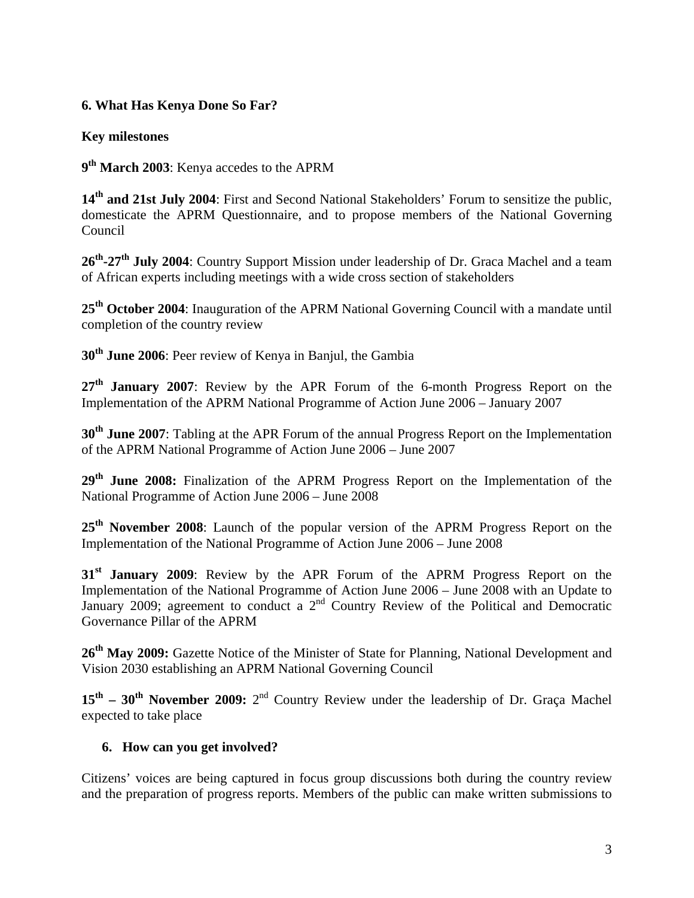# **6. What Has Kenya Done So Far?**

# **Key milestones**

**9th March 2003**: Kenya accedes to the APRM

**14th and 21st July 2004**: First and Second National Stakeholders' Forum to sensitize the public, domesticate the APRM Questionnaire, and to propose members of the National Governing Council

**26th-27th July 2004**: Country Support Mission under leadership of Dr. Graca Machel and a team of African experts including meetings with a wide cross section of stakeholders

**25th October 2004**: Inauguration of the APRM National Governing Council with a mandate until completion of the country review

**30th June 2006**: Peer review of Kenya in Banjul, the Gambia

27<sup>th</sup> January 2007: Review by the APR Forum of the 6-month Progress Report on the Implementation of the APRM National Programme of Action June 2006 – January 2007

**30th June 2007**: Tabling at the APR Forum of the annual Progress Report on the Implementation of the APRM National Programme of Action June 2006 – June 2007

**29th June 2008:** Finalization of the APRM Progress Report on the Implementation of the National Programme of Action June 2006 – June 2008

25<sup>th</sup> November 2008: Launch of the popular version of the APRM Progress Report on the Implementation of the National Programme of Action June 2006 – June 2008

**31st January 2009**: Review by the APR Forum of the APRM Progress Report on the Implementation of the National Programme of Action June 2006 – June 2008 with an Update to January 2009; agreement to conduct a  $2<sup>nd</sup>$  Country Review of the Political and Democratic Governance Pillar of the APRM

**26th May 2009:** Gazette Notice of the Minister of State for Planning, National Development and Vision 2030 establishing an APRM National Governing Council

**15th – 30th November 2009:** 2nd Country Review under the leadership of Dr. Graça Machel expected to take place

### **6. How can you get involved?**

Citizens' voices are being captured in focus group discussions both during the country review and the preparation of progress reports. Members of the public can make written submissions to